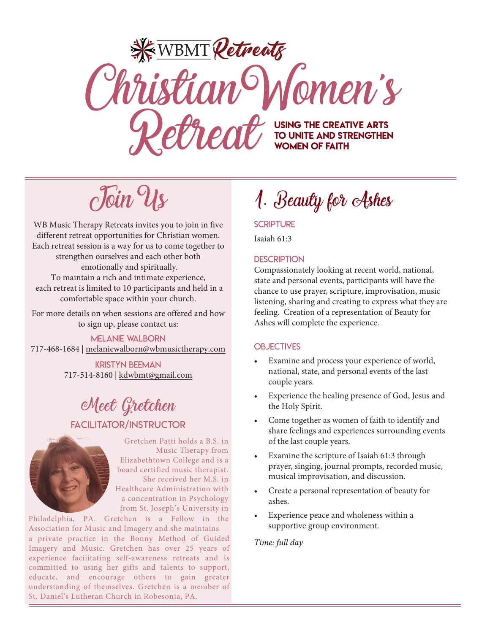# **KEWBMT Retreats** ChristianWomen's Retreative ART USING THE CREATIVE ARTS to unite and Strengthen Women of Faith

 $c$ Toin Us

WB Music Therapy Retreats invites you to join in five different retreat opportunities for Christian women. Each retreat session is a way for us to come together to strengthen ourselves and each other both emotionally and spiritually. To maintain a rich and intimate experience, each retreat is limited to 10 participants and held in a comfortable space within your church.

For more details on when sessions are offered and how to sign up, please contact us:

Melanie Walborn 717-468-1684 | melaniewalborn@wbmusictherapy.com

> Kristyn beeman 717-514-8160 | kdwbmt@gmail.com

# Meet Gretchen

# Facilitator/Instructor



Gretchen Patti holds a B.S. in Music Therapy from Elizabethtown College and is a board certified music therapist. She received her M.S. in Healthcare Administration with a concentration in Psychology from St. Joseph's University in

a private practice in the Bonny Method of Guided Imagery and Music. Gretchen has over 25 years of experience facilitating self-awareness retreats and is committed to using her gifts and talents to support, educate, and encourage others to gain greater understanding of themselves. Gretchen is a member of St. Daniel's Lutheran Church in Robesonia, PA. Philadelphia, PA. Gretchen is a Fellow in the Association for Music and Imagery and she maintains

1. Beauty for Ashes

**SCRIPTURE** 

Isaiah 61:3

# **DESCRIPTION**

Compassionately looking at recent world, national, state and personal events, participants will have the chance to use prayer, scripture, improvisation, music listening, sharing and creating to express what they are feeling. Creation of a representation of Beauty for Ashes will complete the experience.

# **OBJECTIVES**

- Examine and process your experience of world, national, state, and personal events of the last couple years.
- Experience the healing presence of God, Jesus and the Holy Spirit.
- Come together as women of faith to identify and share feelings and experiences surrounding events of the last couple years.
- Examine the scripture of Isaiah 61:3 through prayer, singing, journal prompts, recorded music, musical improvisation, and discussion.
- Create a personal representation of beauty for ashes.
- Experience peace and wholeness within a supportive group environment.

*Time: full day*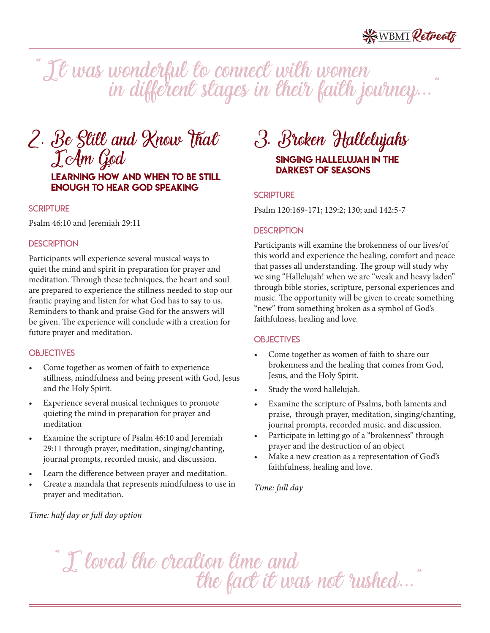"It was wonderful to connect with women in different stages in their faith journey...

# 2. Be Still and Know That IAm God Learning how and when to be still enough to hear God speaking

#### **SCRIPTURE**

Psalm 46:10 and Jeremiah 29:11

#### **DESCRIPTION**

Participants will experience several musical ways to quiet the mind and spirit in preparation for prayer and meditation. Through these techniques, the heart and soul are prepared to experience the stillness needed to stop our frantic praying and listen for what God has to say to us. Reminders to thank and praise God for the answers will be given. The experience will conclude with a creation for future prayer and meditation.

#### **OBJECTIVES**

- Come together as women of faith to experience stillness, mindfulness and being present with God, Jesus and the Holy Spirit.
- Experience several musical techniques to promote quieting the mind in preparation for prayer and meditation
- Examine the scripture of Psalm 46:10 and Jeremiah 29:11 through prayer, meditation, singing/chanting, journal prompts, recorded music, and discussion.
- Learn the difference between prayer and meditation.
- Create a mandala that represents mindfulness to use in prayer and meditation.

# 3. Broken Hallelujahs ľ Singing hallelujah in the darkest of seasons

#### **SCRIPTURE**

Psalm 120:169-171; 129:2; 130; and 142:5-7

#### **DESCRIPTION**

Participants will examine the brokenness of our lives/of this world and experience the healing, comfort and peace that passes all understanding. The group will study why we sing "Hallelujah! when we are "weak and heavy laden" through bible stories, scripture, personal experiences and music. The opportunity will be given to create something "new" from something broken as a symbol of God's faithfulness, healing and love.

#### **OBJECTIVES**

- Come together as women of faith to share our brokenness and the healing that comes from God, Jesus, and the Holy Spirit.
- Study the word hallelujah.
- Examine the scripture of Psalms, both laments and praise, through prayer, meditation, singing/chanting, journal prompts, recorded music, and discussion.
- Participate in letting go of a "brokenness" through prayer and the destruction of an object
- Make a new creation as a representation of God's faithfulness, healing and love.

#### *Time: full day*

*Time: half day or full day option*

"I loved the creation time and the fact it was not rushed...